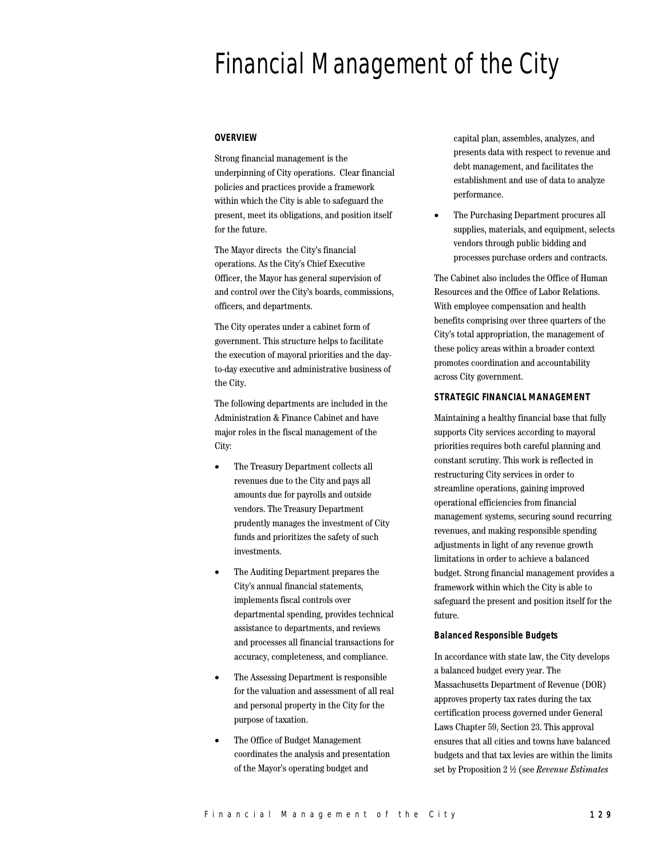# Financial Management of the City

## **OVERVIEW**

Strong financial management is the underpinning of City operations. Clear financial policies and practices provide a framework within which the City is able to safeguard the present, meet its obligations, and position itself for the future.

The Mayor directs the City's financial operations. As the City's Chief Executive Officer, the Mayor has general supervision of and control over the City's boards, commissions, officers, and departments.

The City operates under a cabinet form of government. This structure helps to facilitate the execution of mayoral priorities and the dayto-day executive and administrative business of the City.

The following departments are included in the Administration & Finance Cabinet and have major roles in the fiscal management of the City:

- The Treasury Department collects all revenues due to the City and pays all amounts due for payrolls and outside vendors. The Treasury Department prudently manages the investment of City funds and prioritizes the safety of such investments.
- The Auditing Department prepares the City's annual financial statements, implements fiscal controls over departmental spending, provides technical assistance to departments, and reviews and processes all financial transactions for accuracy, completeness, and compliance.
- The Assessing Department is responsible for the valuation and assessment of all real and personal property in the City for the purpose of taxation.
- The Office of Budget Management coordinates the analysis and presentation of the Mayor's operating budget and

capital plan, assembles, analyzes, and presents data with respect to revenue and debt management, and facilitates the establishment and use of data to analyze performance.

• The Purchasing Department procures all supplies, materials, and equipment, selects vendors through public bidding and processes purchase orders and contracts.

The Cabinet also includes the Office of Human Resources and the Office of Labor Relations. With employee compensation and health benefits comprising over three quarters of the City's total appropriation, the management of these policy areas within a broader context promotes coordination and accountability across City government.

#### **STRATEGIC FINANCIAL MANAGEMENT**

Maintaining a healthy financial base that fully supports City services according to mayoral priorities requires both careful planning and constant scrutiny. This work is reflected in restructuring City services in order to streamline operations, gaining improved operational efficiencies from financial management systems, securing sound recurring revenues, and making responsible spending adjustments in light of any revenue growth limitations in order to achieve a balanced budget. Strong financial management provides a framework within which the City is able to safeguard the present and position itself for the future.

#### **Balanced Responsible Budgets**

In accordance with state law, the City develops a balanced budget every year. The Massachusetts Department of Revenue (DOR) approves property tax rates during the tax certification process governed under General Laws Chapter 59, Section 23. This approval ensures that all cities and towns have balanced budgets and that tax levies are within the limits set by Proposition 2 ½ (see *Revenue Estimates*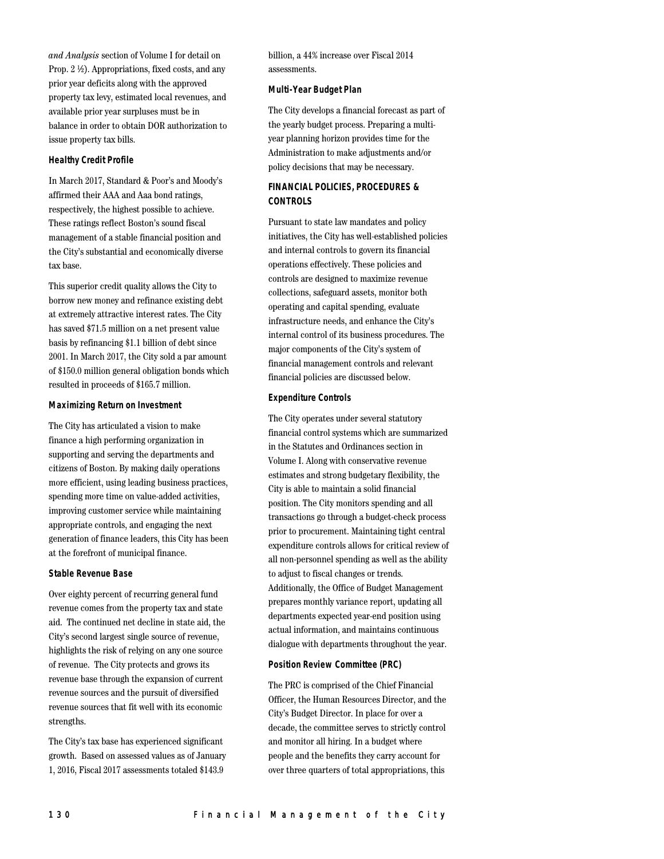*and Analysis* section of Volume I for detail on Prop. 2 ½). Appropriations, fixed costs, and any prior year deficits along with the approved property tax levy, estimated local revenues, and available prior year surpluses must be in balance in order to obtain DOR authorization to issue property tax bills.

#### **Healthy Credit Profile**

In March 2017, Standard & Poor's and Moody's affirmed their AAA and Aaa bond ratings, respectively, the highest possible to achieve. These ratings reflect Boston's sound fiscal management of a stable financial position and the City's substantial and economically diverse tax base.

This superior credit quality allows the City to borrow new money and refinance existing debt at extremely attractive interest rates. The City has saved \$71.5 million on a net present value basis by refinancing \$1.1 billion of debt since 2001. In March 2017, the City sold a par amount of \$150.0 million general obligation bonds which resulted in proceeds of \$165.7 million.

#### **Maximizing Return on Investment**

The City has articulated a vision to make finance a high performing organization in supporting and serving the departments and citizens of Boston. By making daily operations more efficient, using leading business practices, spending more time on value-added activities, improving customer service while maintaining appropriate controls, and engaging the next generation of finance leaders, this City has been at the forefront of municipal finance.

#### **Stable Revenue Base**

Over eighty percent of recurring general fund revenue comes from the property tax and state aid. The continued net decline in state aid, the City's second largest single source of revenue, highlights the risk of relying on any one source of revenue. The City protects and grows its revenue base through the expansion of current revenue sources and the pursuit of diversified revenue sources that fit well with its economic strengths.

The City's tax base has experienced significant growth. Based on assessed values as of January 1, 2016, Fiscal 2017 assessments totaled \$143.9

billion, a 44% increase over Fiscal 2014 assessments.

#### **Multi-Year Budget Plan**

The City develops a financial forecast as part of the yearly budget process. Preparing a multiyear planning horizon provides time for the Administration to make adjustments and/or policy decisions that may be necessary.

# **FINANCIAL POLICIES, PROCEDURES & CONTROLS**

Pursuant to state law mandates and policy initiatives, the City has well-established policies and internal controls to govern its financial operations effectively. These policies and controls are designed to maximize revenue collections, safeguard assets, monitor both operating and capital spending, evaluate infrastructure needs, and enhance the City's internal control of its business procedures. The major components of the City's system of financial management controls and relevant financial policies are discussed below.

#### **Expenditure Controls**

The City operates under several statutory financial control systems which are summarized in the Statutes and Ordinances section in Volume I. Along with conservative revenue estimates and strong budgetary flexibility, the City is able to maintain a solid financial position. The City monitors spending and all transactions go through a budget-check process prior to procurement. Maintaining tight central expenditure controls allows for critical review of all non-personnel spending as well as the ability to adjust to fiscal changes or trends. Additionally, the Office of Budget Management prepares monthly variance report, updating all departments expected year-end position using actual information, and maintains continuous dialogue with departments throughout the year.

#### **Position Review Committee (PRC)**

The PRC is comprised of the Chief Financial Officer, the Human Resources Director, and the City's Budget Director. In place for over a decade, the committee serves to strictly control and monitor all hiring. In a budget where people and the benefits they carry account for over three quarters of total appropriations, this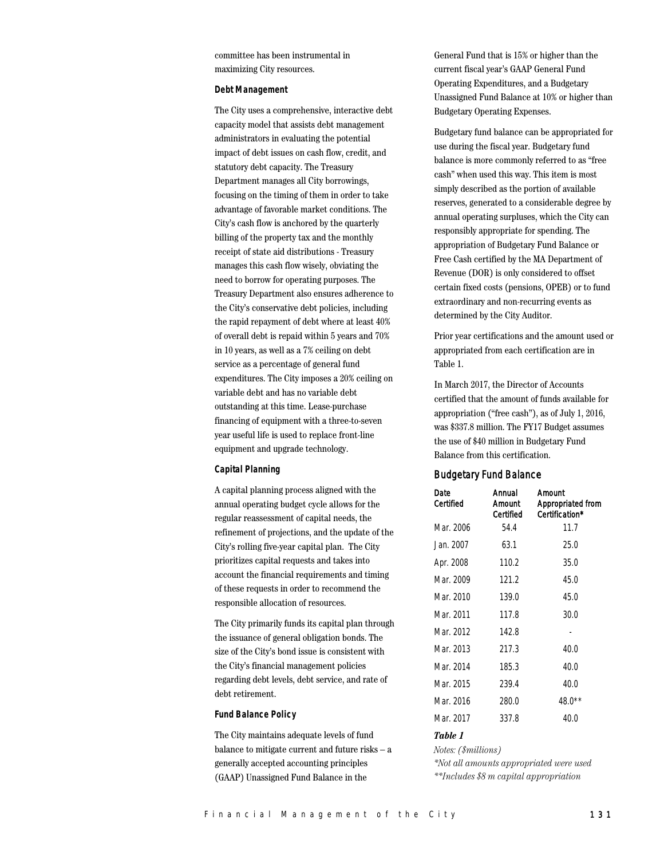committee has been instrumental in maximizing City resources.

#### **Debt Management**

The City uses a comprehensive, interactive debt capacity model that assists debt management administrators in evaluating the potential impact of debt issues on cash flow, credit, and statutory debt capacity. The Treasury Department manages all City borrowings, focusing on the timing of them in order to take advantage of favorable market conditions. The City's cash flow is anchored by the quarterly billing of the property tax and the monthly receipt of state aid distributions - Treasury manages this cash flow wisely, obviating the need to borrow for operating purposes. The Treasury Department also ensures adherence to the City's conservative debt policies, including the rapid repayment of debt where at least 40% of overall debt is repaid within 5 years and 70% in 10 years, as well as a 7% ceiling on debt service as a percentage of general fund expenditures. The City imposes a 20% ceiling on variable debt and has no variable debt outstanding at this time. Lease-purchase financing of equipment with a three-to-seven year useful life is used to replace front-line equipment and upgrade technology.

#### **Capital Planning**

A capital planning process aligned with the annual operating budget cycle allows for the regular reassessment of capital needs, the refinement of projections, and the update of the City's rolling five-year capital plan. The City prioritizes capital requests and takes into account the financial requirements and timing of these requests in order to recommend the responsible allocation of resources.

The City primarily funds its capital plan through the issuance of general obligation bonds. The size of the City's bond issue is consistent with the City's financial management policies regarding debt levels, debt service, and rate of debt retirement.

#### **Fund Balance Policy**

The City maintains adequate levels of fund balance to mitigate current and future risks – a generally accepted accounting principles (GAAP) Unassigned Fund Balance in the

General Fund that is 15% or higher than the current fiscal year's GAAP General Fund Operating Expenditures, and a Budgetary Unassigned Fund Balance at 10% or higher than Budgetary Operating Expenses.

Budgetary fund balance can be appropriated for use during the fiscal year. Budgetary fund balance is more commonly referred to as "free cash" when used this way. This item is most simply described as the portion of available reserves, generated to a considerable degree by annual operating surpluses, which the City can responsibly appropriate for spending. The appropriation of Budgetary Fund Balance or Free Cash certified by the MA Department of Revenue (DOR) is only considered to offset certain fixed costs (pensions, OPEB) or to fund extraordinary and non-recurring events as determined by the City Auditor.

Prior year certifications and the amount used or appropriated from each certification are in Table 1.

In March 2017, the Director of Accounts certified that the amount of funds available for appropriation ("free cash"), as of July 1, 2016, was \$337.8 million. The FY17 Budget assumes the use of \$40 million in Budgetary Fund Balance from this certification.

#### Budgetary Fund Balance

| Date<br>Certified | Annual<br>Amount<br>Certified | Amount<br>Appropriated from<br>Certification* |
|-------------------|-------------------------------|-----------------------------------------------|
| Mar. 2006         | 54.4                          | 11.7                                          |
| Jan. 2007.        | 63.1                          | 25.0                                          |
| Apr. 2008         | 110.2                         | 35.0                                          |
| Mar. 2009         | 121.2                         | 45.0                                          |
| Mar. 2010         | 139.0                         | 45.0                                          |
| Mar. 2011         | 117.8                         | 30.0                                          |
| Mar. 2012         | 142.8                         |                                               |
| Mar. 2013         | 217.3                         | 40.0                                          |
| Mar. 2014         | 185.3                         | 40.0                                          |
| Mar. 2015         | 239.4                         | 40.0                                          |
| Mar. 2016         | 280.0                         | $48.0**$                                      |
| Mar. 2017         | 337.8                         | 40.0                                          |

#### *Table 1*

*Notes: (\$millions)*

*\*Not all amounts appropriated were used \*\*Includes \$8 m capital appropriation*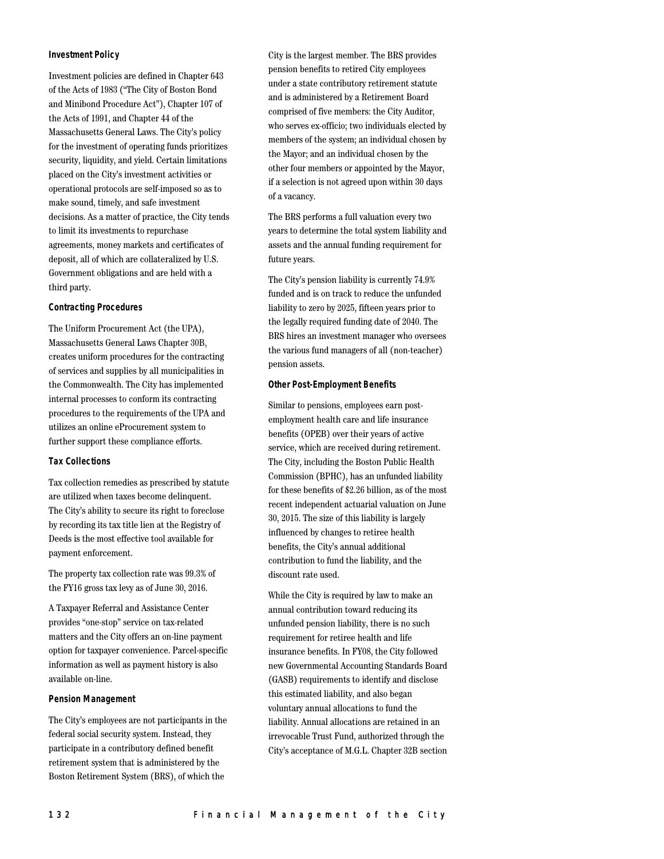#### **Investment Policy**

Investment policies are defined in Chapter 643 of the Acts of 1983 ("The City of Boston Bond and Minibond Procedure Act"), Chapter 107 of the Acts of 1991, and Chapter 44 of the Massachusetts General Laws. The City's policy for the investment of operating funds prioritizes security, liquidity, and yield. Certain limitations placed on the City's investment activities or operational protocols are self-imposed so as to make sound, timely, and safe investment decisions. As a matter of practice, the City tends to limit its investments to repurchase agreements, money markets and certificates of deposit, all of which are collateralized by U.S. Government obligations and are held with a third party.

#### **Contracting Procedures**

The Uniform Procurement Act (the UPA), Massachusetts General Laws Chapter 30B, creates uniform procedures for the contracting of services and supplies by all municipalities in the Commonwealth. The City has implemented internal processes to conform its contracting procedures to the requirements of the UPA and utilizes an online eProcurement system to further support these compliance efforts.

#### **Tax Collections**

Tax collection remedies as prescribed by statute are utilized when taxes become delinquent. The City's ability to secure its right to foreclose by recording its tax title lien at the Registry of Deeds is the most effective tool available for payment enforcement.

The property tax collection rate was 99.3% of the FY16 gross tax levy as of June 30, 2016.

A Taxpayer Referral and Assistance Center provides "one-stop" service on tax-related matters and the City offers an on-line payment option for taxpayer convenience. Parcel-specific information as well as payment history is also available on-line.

#### **Pension Management**

The City's employees are not participants in the federal social security system. Instead, they participate in a contributory defined benefit retirement system that is administered by the Boston Retirement System (BRS), of which the

City is the largest member. The BRS provides pension benefits to retired City employees under a state contributory retirement statute and is administered by a Retirement Board comprised of five members: the City Auditor, who serves ex-officio; two individuals elected by members of the system; an individual chosen by the Mayor; and an individual chosen by the other four members or appointed by the Mayor, if a selection is not agreed upon within 30 days of a vacancy.

The BRS performs a full valuation every two years to determine the total system liability and assets and the annual funding requirement for future years.

The City's pension liability is currently 74.9% funded and is on track to reduce the unfunded liability to zero by 2025, fifteen years prior to the legally required funding date of 2040. The BRS hires an investment manager who oversees the various fund managers of all (non-teacher) pension assets.

#### **Other Post-Employment Benefits**

Similar to pensions, employees earn postemployment health care and life insurance benefits (OPEB) over their years of active service, which are received during retirement. The City, including the Boston Public Health Commission (BPHC), has an unfunded liability for these benefits of \$2.26 billion, as of the most recent independent actuarial valuation on June 30, 2015. The size of this liability is largely influenced by changes to retiree health benefits, the City's annual additional contribution to fund the liability, and the discount rate used.

While the City is required by law to make an annual contribution toward reducing its unfunded pension liability, there is no such requirement for retiree health and life insurance benefits. In FY08, the City followed new Governmental Accounting Standards Board (GASB) requirements to identify and disclose this estimated liability, and also began voluntary annual allocations to fund the liability. Annual allocations are retained in an irrevocable Trust Fund, authorized through the City's acceptance of M.G.L. Chapter 32B section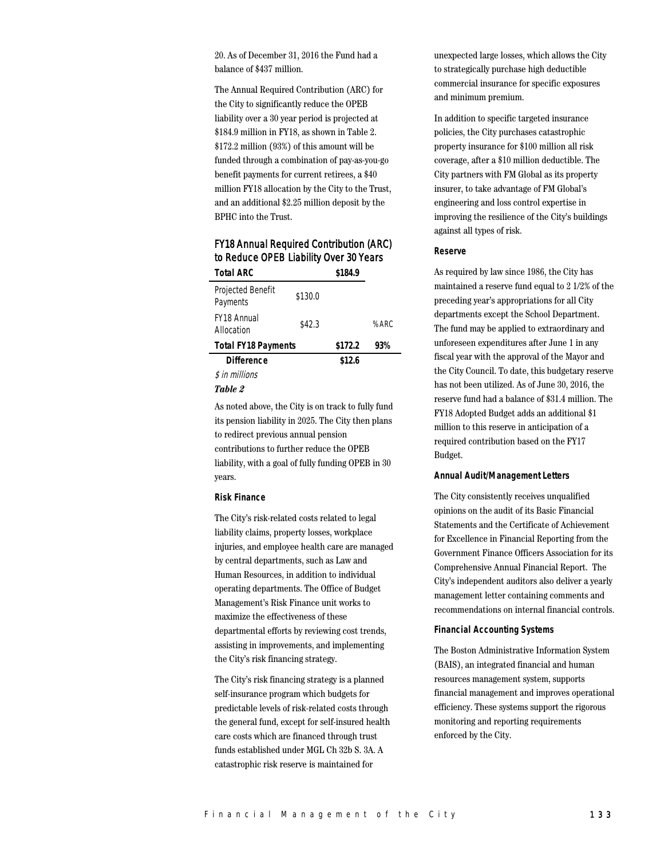20. As of December 31, 2016 the Fund had a balance of \$437 million.

The Annual Required Contribution (ARC) for the City to significantly reduce the OPEB liability over a 30 year period is projected at \$184.9 million in FY18, as shown in Table 2. \$172.2 million (93%) of this amount will be funded through a combination of pay-as-you-go benefit payments for current retirees, a \$40 million FY18 allocation by the City to the Trust, and an additional \$2.25 million deposit by the BPHC into the Trust.

# FY18 Annual Required Contribution (ARC) to Reduce OPEB Liability Over 30 Years

| <b>Total ARC</b>              |         | \$184.9 |         |  |
|-------------------------------|---------|---------|---------|--|
| Projected Benefit<br>Payments | \$130.0 |         |         |  |
| FY18 Annual<br>Allocation     | \$42.3  |         | $%$ ARC |  |
| <b>Total FY18 Payments</b>    | \$172.2 | 93%     |         |  |
| <b>Difference</b>             |         | \$12.6  |         |  |
| \$ in millions                |         |         |         |  |

#### *Table 2*

As noted above, the City is on track to fully fund its pension liability in 2025. The City then plans to redirect previous annual pension contributions to further reduce the OPEB liability, with a goal of fully funding OPEB in 30 years.

#### **Risk Finance**

The City's risk-related costs related to legal liability claims, property losses, workplace injuries, and employee health care are managed by central departments, such as Law and Human Resources, in addition to individual operating departments. The Office of Budget Management's Risk Finance unit works to maximize the effectiveness of these departmental efforts by reviewing cost trends, assisting in improvements, and implementing the City's risk financing strategy.

The City's risk financing strategy is a planned self-insurance program which budgets for predictable levels of risk-related costs through the general fund, except for self-insured health care costs which are financed through trust funds established under MGL Ch 32b S. 3A. A catastrophic risk reserve is maintained for

unexpected large losses, which allows the City to strategically purchase high deductible commercial insurance for specific exposures and minimum premium.

In addition to specific targeted insurance policies, the City purchases catastrophic property insurance for \$100 million all risk coverage, after a \$10 million deductible. The City partners with FM Global as its property insurer, to take advantage of FM Global's engineering and loss control expertise in improving the resilience of the City's buildings against all types of risk.

#### **Reserve**

As required by law since 1986, the City has maintained a reserve fund equal to 2 1/2% of the preceding year's appropriations for all City departments except the School Department. The fund may be applied to extraordinary and unforeseen expenditures after June 1 in any fiscal year with the approval of the Mayor and the City Council. To date, this budgetary reserve has not been utilized. As of June 30, 2016, the reserve fund had a balance of \$31.4 million. The FY18 Adopted Budget adds an additional \$1 million to this reserve in anticipation of a required contribution based on the FY17 Budget.

#### **Annual Audit/Management Letters**

The City consistently receives unqualified opinions on the audit of its Basic Financial Statements and the Certificate of Achievement for Excellence in Financial Reporting from the Government Finance Officers Association for its Comprehensive Annual Financial Report. The City's independent auditors also deliver a yearly management letter containing comments and recommendations on internal financial controls.

#### **Financial Accounting Systems**

The Boston Administrative Information System (BAIS), an integrated financial and human resources management system, supports financial management and improves operational efficiency. These systems support the rigorous monitoring and reporting requirements enforced by the City.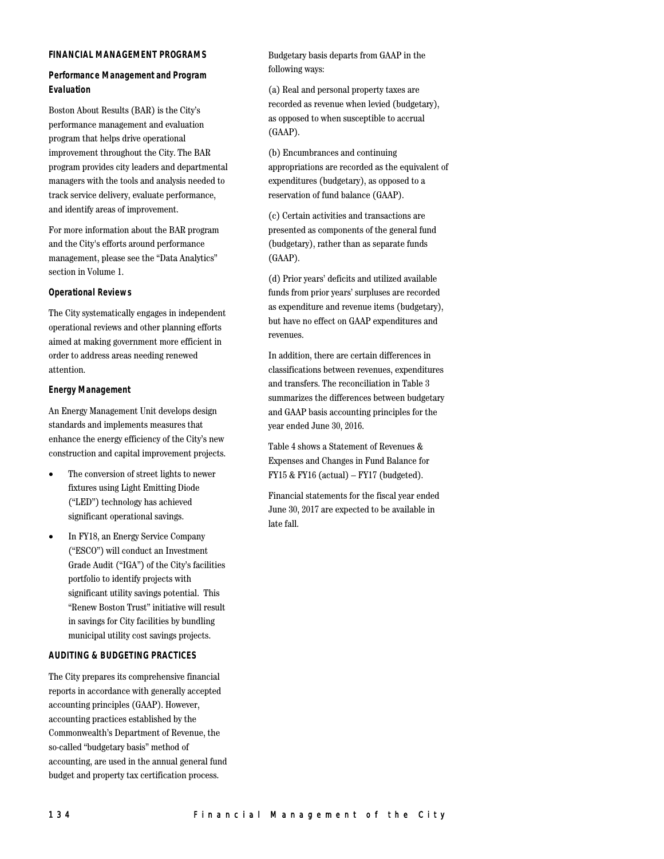#### **FINANCIAL MANAGEMENT PROGRAMS**

# **Performance Management and Program Evaluation**

Boston About Results (BAR) is the City's performance management and evaluation program that helps drive operational improvement throughout the City. The BAR program provides city leaders and departmental managers with the tools and analysis needed to track service delivery, evaluate performance, and identify areas of improvement.

For more information about the BAR program and the City's efforts around performance management, please see the "Data Analytics" section in Volume 1.

#### **Operational Reviews**

The City systematically engages in independent operational reviews and other planning efforts aimed at making government more efficient in order to address areas needing renewed attention.

#### **Energy Management**

An Energy Management Unit develops design standards and implements measures that enhance the energy efficiency of the City's new construction and capital improvement projects.

- The conversion of street lights to newer fixtures using Light Emitting Diode ("LED") technology has achieved significant operational savings.
- In FY18, an Energy Service Company ("ESCO") will conduct an Investment Grade Audit ("IGA") of the City's facilities portfolio to identify projects with significant utility savings potential. This "Renew Boston Trust" initiative will result in savings for City facilities by bundling municipal utility cost savings projects.

#### **AUDITING & BUDGETING PRACTICES**

The City prepares its comprehensive financial reports in accordance with generally accepted accounting principles (GAAP). However, accounting practices established by the Commonwealth's Department of Revenue, the so-called "budgetary basis" method of accounting, are used in the annual general fund budget and property tax certification process.

Budgetary basis departs from GAAP in the following ways:

(a) Real and personal property taxes are recorded as revenue when levied (budgetary), as opposed to when susceptible to accrual (GAAP).

(b) Encumbrances and continuing appropriations are recorded as the equivalent of expenditures (budgetary), as opposed to a reservation of fund balance (GAAP).

(c) Certain activities and transactions are presented as components of the general fund (budgetary), rather than as separate funds (GAAP).

(d) Prior years' deficits and utilized available funds from prior years' surpluses are recorded as expenditure and revenue items (budgetary), but have no effect on GAAP expenditures and revenues.

In addition, there are certain differences in classifications between revenues, expenditures and transfers. The reconciliation in Table 3 summarizes the differences between budgetary and GAAP basis accounting principles for the year ended June 30, 2016.

Table 4 shows a Statement of Revenues & Expenses and Changes in Fund Balance for FY15 & FY16 (actual) – FY17 (budgeted).

Financial statements for the fiscal year ended June 30, 2017 are expected to be available in late fall.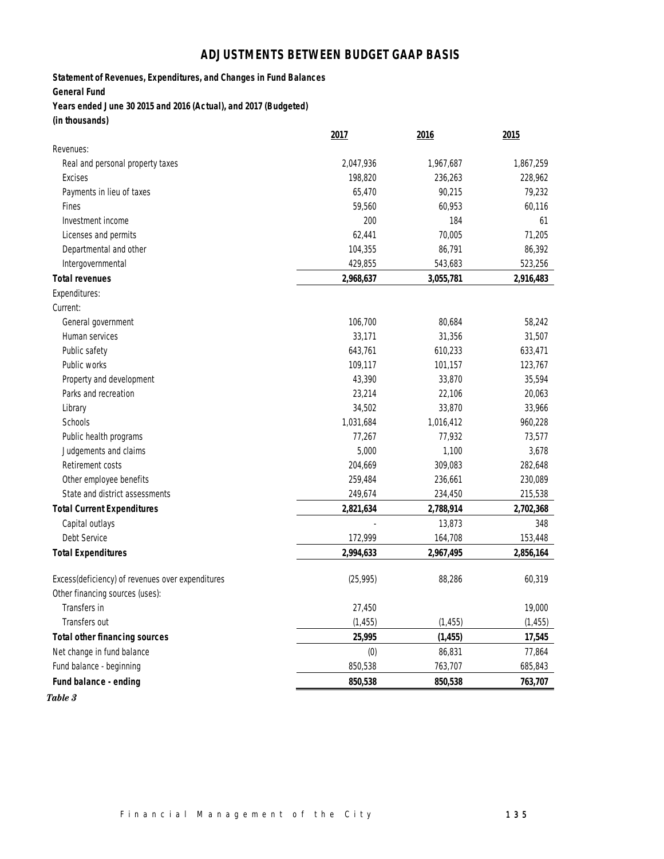# **ADJUSTMENTS BETWEEN BUDGET GAAP BASIS**

**Statement of Revenues, Expenditures, and Changes in Fund Balances**

**General Fund**

**Years ended June 30 2015 and 2016 (Actual), and 2017 (Budgeted) (in thousands)**

|                                                  | 2017      | <u> 2016</u> | 2015      |
|--------------------------------------------------|-----------|--------------|-----------|
| Revenues:                                        |           |              |           |
| Real and personal property taxes                 | 2,047,936 | 1,967,687    | 1,867,259 |
| Excises                                          | 198,820   | 236,263      | 228,962   |
| Payments in lieu of taxes                        | 65,470    | 90,215       | 79,232    |
| Fines                                            | 59,560    | 60,953       | 60,116    |
| Investment income                                | 200       | 184          | 61        |
| Licenses and permits                             | 62,441    | 70,005       | 71,205    |
| Departmental and other                           | 104,355   | 86,791       | 86,392    |
| Intergovernmental                                | 429,855   | 543,683      | 523,256   |
| <b>Total revenues</b>                            | 2,968,637 | 3,055,781    | 2,916,483 |
| Expenditures:                                    |           |              |           |
| Current:                                         |           |              |           |
| General government                               | 106,700   | 80,684       | 58,242    |
| Human services                                   | 33,171    | 31,356       | 31,507    |
| Public safety                                    | 643,761   | 610,233      | 633,471   |
| Public works                                     | 109,117   | 101,157      | 123,767   |
| Property and development                         | 43,390    | 33,870       | 35,594    |
| Parks and recreation                             | 23,214    | 22,106       | 20,063    |
| Library                                          | 34,502    | 33,870       | 33,966    |
| Schools                                          | 1,031,684 | 1,016,412    | 960,228   |
| Public health programs                           | 77,267    | 77,932       | 73,577    |
| Judgements and claims                            | 5,000     | 1,100        | 3,678     |
| Retirement costs                                 | 204,669   | 309,083      | 282,648   |
| Other employee benefits                          | 259,484   | 236,661      | 230,089   |
| State and district assessments                   | 249,674   | 234,450      | 215,538   |
| <b>Total Current Expenditures</b>                | 2,821,634 | 2,788,914    | 2,702,368 |
| Capital outlays                                  |           | 13,873       | 348       |
| Debt Service                                     | 172,999   | 164,708      | 153,448   |
| <b>Total Expenditures</b>                        | 2,994,633 | 2,967,495    | 2,856,164 |
| Excess(deficiency) of revenues over expenditures | (25, 995) | 88,286       | 60,319    |
| Other financing sources (uses):                  |           |              |           |
| Transfers in                                     | 27,450    |              | 19,000    |
| Transfers out                                    | (1, 455)  | (1, 455)     | (1, 455)  |
| <b>Total other financing sources</b>             | 25,995    | (1, 455)     | 17,545    |
| Net change in fund balance                       | (0)       | 86,831       | 77,864    |
| Fund balance - beginning                         | 850,538   | 763,707      | 685,843   |
| Fund balance - ending                            | 850,538   | 850,538      | 763,707   |

*Table 3*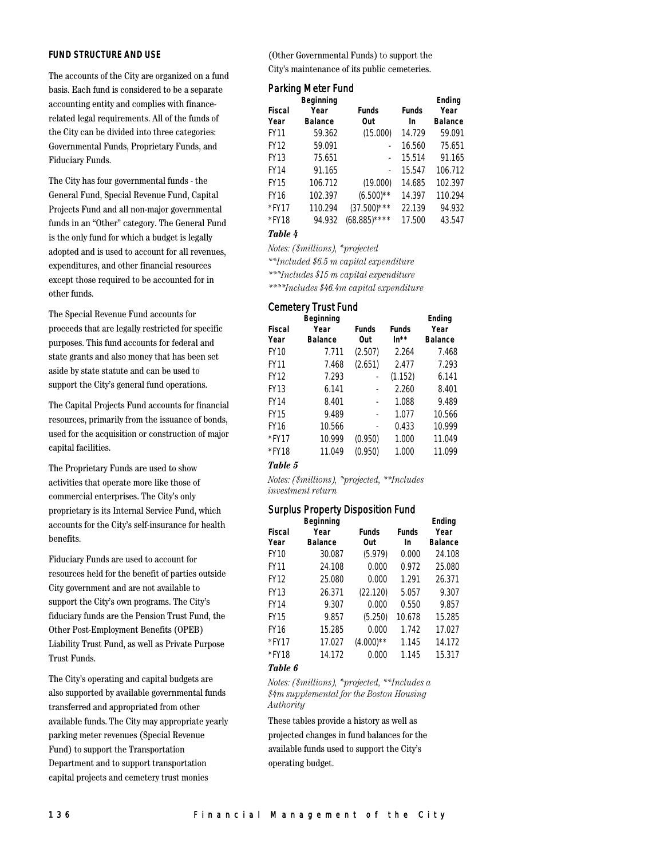## **FUND STRUCTURE AND USE**

The accounts of the City are organized on a fund basis. Each fund is considered to be a separate accounting entity and complies with financerelated legal requirements. All of the funds of the City can be divided into three categories: Governmental Funds, Proprietary Funds, and Fiduciary Funds.

The City has four governmental funds - the General Fund, Special Revenue Fund, Capital Projects Fund and all non-major governmental funds in an "Other" category. The General Fund is the only fund for which a budget is legally adopted and is used to account for all revenues, expenditures, and other financial resources except those required to be accounted for in other funds.

The Special Revenue Fund accounts for proceeds that are legally restricted for specific purposes. This fund accounts for federal and state grants and also money that has been set aside by state statute and can be used to support the City's general fund operations.

The Capital Projects Fund accounts for financial resources, primarily from the issuance of bonds, used for the acquisition or construction of major capital facilities.

The Proprietary Funds are used to show activities that operate more like those of commercial enterprises. The City's only proprietary is its Internal Service Fund, which accounts for the City's self-insurance for health benefits.

Fiduciary Funds are used to account for resources held for the benefit of parties outside City government and are not available to support the City's own programs. The City's fiduciary funds are the Pension Trust Fund, the Other Post-Employment Benefits (OPEB) Liability Trust Fund, as well as Private Purpose Trust Funds.

The City's operating and capital budgets are also supported by available governmental funds transferred and appropriated from other available funds. The City may appropriate yearly parking meter revenues (Special Revenue Fund) to support the Transportation Department and to support transportation capital projects and cemetery trust monies

(Other Governmental Funds) to support the City's maintenance of its public cemeteries.

# Parking Meter Fund

|               | <b>Beginning</b> |                 |              | Ending         |
|---------------|------------------|-----------------|--------------|----------------|
| <b>Fiscal</b> | Year             | <b>Funds</b>    | <b>Funds</b> | Year           |
| Year          | <b>Balance</b>   | Out             | In           | <b>Balance</b> |
| <b>FY11</b>   | 59.362           | (15.000)        | 14.729       | 59.091         |
| <b>FY12</b>   | 59.091           |                 | 16.560       | 75.651         |
| <b>FY13</b>   | 75.651           |                 | 15.514       | 91.165         |
| <b>FY14</b>   | 91.165           |                 | 15.547       | 106.712        |
| <b>FY15</b>   | 106.712          | (19.000)        | 14.685       | 102.397        |
| <b>FY16</b>   | 102.397          | $(6.500)$ **    | 14.397       | 110.294        |
| *FY17         | 110.294          | $(37.500)$ ***  | 22.139       | 94.932         |
| *FY18         | 94.932           | $(68.885)$ **** | 17.500       | 43.547         |

#### *Table 4*

*Notes: (\$millions), \*projected*

*\*\*Included \$6.5 m capital expenditure*

*\*\*\*Includes \$15 m capital expenditure*

*\*\*\*\*Includes \$46.4m capital expenditure*

# Cemetery Trust Fund

|               | <b>Beginning</b> |              | Ending       |                |
|---------------|------------------|--------------|--------------|----------------|
| <b>Fiscal</b> | Year             | <b>Funds</b> | <b>Funds</b> | Year           |
| Year          | <b>Balance</b>   | Out          | $In**$       | <b>Balance</b> |
| <b>FY10</b>   | 7.711            | (2.507)      | 2.264        | 7.468          |
| <b>FY11</b>   | 7.468            | (2.651)      | 2.477        | 7.293          |
| <b>FY12</b>   | 7.293            |              | (1.152)      | 6.141          |
| <b>FY13</b>   | 6.141            |              | 2.260        | 8.401          |
| FY14          | 8.401            |              | 1.088        | 9.489          |
| <b>FY15</b>   | 9.489            |              | 1.077        | 10.566         |
| <b>FY16</b>   | 10.566           |              | 0.433        | 10.999         |
| $*$ FY17      | 10.999           | (0.950)      | 1.000        | 11.049         |
| *FY18         | 11.049           | (0.950)      | 1.000        | 11.099         |
|               |                  |              |              |                |

## *Table 5*

*Notes: (\$millions), \*projected, \*\*Includes investment return*

# Surplus Property Disposition Fund

|               | <b>Beginning</b> |              |              | Ending         |
|---------------|------------------|--------------|--------------|----------------|
| <b>Fiscal</b> | Year             | <b>Funds</b> | <b>Funds</b> | Year           |
| Year          | <b>Balance</b>   | Out          | In           | <b>Balance</b> |
| <b>FY10</b>   | 30.087           | (5.979)      | 0.000        | 24.108         |
| <b>FY11</b>   | 24.108           | 0.000        | 0.972        | 25.080         |
| <b>FY12</b>   | 25.080           | 0.000        | 1.291        | 26.371         |
| FY13          | 26.371           | (22.120)     | 5.057        | 9.307          |
| FY14          | 9.307            | 0.000        | 0.550        | 9.857          |
| FY15          | 9.857            | (5.250)      | 10.678       | 15.285         |
| FY16          | 15.285           | 0.000        | 1.742        | 17.027         |
| $*$ FY17      | 17.027           | $(4.000)$ ** | 1.145        | 14.172         |
| *FY18         | 14.172           | 0.000        | 1.145        | 15.317         |
|               |                  |              |              |                |

#### *Table 6*

*Notes: (\$millions), \*projected, \*\*Includes a \$4m supplemental for the Boston Housing Authority*

These tables provide a history as well as projected changes in fund balances for the available funds used to support the City's operating budget.